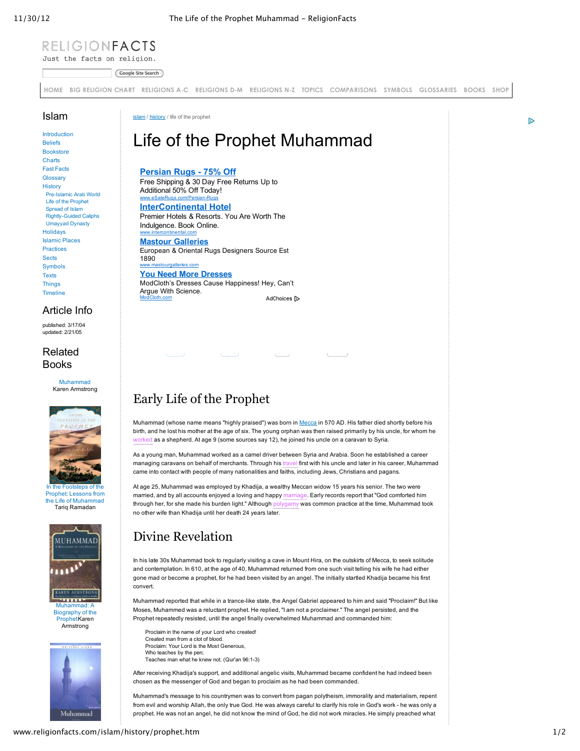#### RELIGIONFACTS Just the facts on religion.

Google Site Search

**[HOME](http://www.religionfacts.com/) BIG [RELIGION](http://www.religionfacts.com/big_religion_chart.htm) CHART [RELIGIONS](http://www.religionfacts.com/a-z-religion-index/index.htm) AC [RELIGIONS](http://www.religionfacts.com/a-z-religion-index/index.htm) DM [RELIGIONS](http://www.religionfacts.com/a-z-religion-index/index.htm) NZ [TOPICS](http://www.religionfacts.com/topics_issues.htm) [COMPARISONS](http://www.religionfacts.com/big_religion_chart.htm) [SYMBOLS](javascript:;) [GLOSSARIES](javascript:;) [BOOKS](javascript:;) [SHOP](javascript:;)**

#### Islam

[Introduction](http://www.religionfacts.com/islam/index.htm) [Beliefs](http://www.religionfacts.com/islam/beliefs.htm) [Bookstore](http://www.religionfacts.com/islam/books.htm) [Charts](http://www.religionfacts.com/islam/comparison_charts.htm) Fast [Facts](http://www.religionfacts.com/islam/fastfacts.htm) **[Glossary](http://www.religionfacts.com/islam/glossary.htm)** [History](http://www.religionfacts.com/islam/history.htm) Pre-Islamic Arab World Life of the [Prophet](http://www.religionfacts.com/islam/history/prophet.htm) [Spread](http://www.religionfacts.com/islam/history/prophet.htm#spread) of Islam **Rightly-Guided Caliphs** [Umayyad](http://www.religionfacts.com/islam/history/umayyad.htm) Dynasty [Holidays](http://www.religionfacts.com/islam/holidays.htm) [Islamic](http://www.religionfacts.com/islam/places.htm) Places [Practices](http://www.religionfacts.com/islam/practices.htm) **[Sects](http://www.religionfacts.com/islam/sects.htm)** [Symbols](http://www.religionfacts.com/islam/symbols.htm) **[Texts](http://www.religionfacts.com/islam/texts.htm) [Things](http://www.religionfacts.com/islam/things.htm) [Timeline](http://www.religionfacts.com/islam/timeline.htm)** 

#### Article Info

published: 3/17/04 updated: 2/21/05

#### Related Books

[Muhammad](http://www.amazon.com/gp/product/0060598972?ie=UTF8&tag=religi09-20&link_code=as3&camp=211189&creative=373489&creativeASIN=0060598972) Karen Armstrong



ens of th Prophet: Lessons from the Life of [Muhammad](http://www.amazon.com/gp/product/0195308808?ie=UTF8&tag=religi09-20&link_code=as3&camp=211189&creative=373489&creativeASIN=0195308808) Tariq Ramadan



Biography of the [ProphetKaren](http://www.amazon.com/gp/product/0062508865?ie=UTF8&tag=religi09-20&link_code=as3&camp=211189&creative=373489&creativeASIN=0062508865) Armstrong



#### [islam](http://www.religionfacts.com/islam/index.htm) / [history](http://www.religionfacts.com/islam/history.htm) / life of the prophet

www.intercontinental.com

# Life of the Prophet Muhammad

#### **[Persian](http://www.googleadservices.com/pagead/aclk?sa=L&ai=CD7qbkjC5UKafENDO0AGq3IDQC-DritIC6I_S1T3AjbcBEAEglufcGSgEUL2Sx_37_____wFgyYbtiISk7A-gAaDmpPkDyAEBqAMByAPfBKoEhgFP0IFzx2haDANV2x9VdwtBr89TkG5FAmgltfc9vNqhxg3m1CbARE5rnJMLVa_B09xoQMTFTHaqKulke1FJmlAS3PXhDp6TPodKig6STbeDjxKy4-ImXg9lwvvWLlavunkI8HjvNfXZYbf9oj_v37DHti93eS2KY3r-izVNHOvzzNlOgPaGqYgGAQ&num=1&cid=5Gh8ITlwEUvFKTgu7-YPHT9J&sig=AOD64_2m5pZqDeIiMVWHlBCBd1dQk3sX1Q&client=ca-pub-8652540295258724&adurl=http://esalerugs.com%3Fmkwid%3DcGB6Kjz0V%26pcrid%3D16475366328%26pmt%3D%26kwd%3Drugs%2520persian) Rugs 75% Off**

Free Shipping & 30 Day Free Returns Up to Additional 50% Off Today! www.eSaleRugs.com/Persian-Rugs

**[InterContinental](http://www.googleadservices.com/pagead/aclk?sa=L&ai=CuBdmkjC5UKafENDO0AGq3IDQC4ai960CjvTcozO-ys2wlAEQAiCW59wZKARQqouz5fr_____AWDJhu2IhKTsD6ABkqqO9gPIAQGoAwHIA98EqgSKAU_QsQl3cUM2O-doCzd3Cxjz2FqVYEsEaS2y9Sq7h-zKDzFvLflESyXWmQM6kdN6B18e2MVIPL8qsWR7CBWNWRfS--cPlpQ8kE3XQ55P9cWVDb_voGFfFWLZ5t14Ca2nZhD9abVz6cCMNf5r_S9sl8b4xFheMIqHfAtIwE4cKwbfOUhQduSpTJe_zYgGAQ&num=2&cid=5Gh8ITlwEUvFKTgu7-YPHT9J&sig=AOD64_3kdyy2FZYX1fQOjjNqHbSl269JhQ&client=ca-pub-8652540295258724&adurl=http://www.intercontinental.com/redirect%3Fdp%3Dtrue%26path%3Dhome%26brandCode%3Dic%26regionCode%3D1%26localeCode%3Den%26_PMID%3D99615832) Hotel** Premier Hotels & Resorts. You Are Worth The Indulgence. Book Online.

**Mastour [Galleries](http://googleads.g.doubleclick.net/aclk?sa=L&ai=CkfbVkjC5UKafENDO0AGq3IDQC-TVgM4CjJf0_DzAjbcBEAMglufcGSgEUPiG0vH6_____wFgyYbtiISk7A_IAQGoAwHIA98EqgR8T9CRW-RoWAwDVdsfVXcLQa_PU5BuRQJoJbX3PbzaocYN5tQmwEROa5yTC1WvwdPcaEDExUx2qirpZHtRSZpQEtz14Q6ekz6HSooOkk23g48SsuPiJl4PZcL71i5Wr7p5CPB47zX12Qm2GGzILmlfxJ7ZkH_YiXOa-OMlcQ&num=3&sig=AOD64_3jovW92UD5dox7DeYyNCR0SnGdTw&client=ca-pub-8652540295258724&adurl=http://www.mastourgalleries.com/main.html)** European & Oriental Rugs Designers Source Est 1890 www.mastourgalleries.com **You Need More [Dresses](http://www.googleadservices.com/pagead/aclk?sa=L&ai=COwX3kjC5UKafENDO0AGq3IDQC6P3jNkEm9Kq018LEAQglufcGSgEUOj5-YT6_____wFgyYbtiISk7A-gAe2B4d8DyAEBqAMByAPfBKoEiQFP0KFn7WhfDANV2x9VdwtBr89TkG5FAmgltfc9vNqhxg3m1CbARE5rnJMLVa_B09xoQMTFTHaqKulke1FJmlAS3PXhDp6TPodKig6STbeDjxKy4-ImXg9lwvvWLlavunkI8HjvNfXZYbf9qj8ooV0_k9y-l9ttZY_9S8BO3B7w3DlIQIYCVHbtH4gGAQ&num=4&cid=5Gh8ITlwEUvFKTgu7-YPHT9J&sig=AOD64_1qmjU9fcvpWEyWS-KizJJgPt_drg&client=ca-pub-8652540295258724&adurl=http://www.modcloth.com/shop/dresses%3Fpcrid%3D25578832667)** ModCloth's Dresses Cause Happiness! Hey, Can't Argue With Science. AdChoices [D ModCloth.com

## Early Life of the Prophet

Muhammad (whose name means "highly praised") was born in [Mecca](http://www.religionfacts.com/islam/places/mecca.htm) in 570 AD. His father died shortly before his birth, and he lost his mother at the age of six. The young orphan was then raised primarily by his uncle, for whom he worked as a shepherd. At age 9 (some sources say 12), he joined his uncle on a caravan to Syria.

المستقل المستقل المستقل المستقل المستقل المستقلة المستقلة المستقلة المستقلة المستقلة المستقلة المستقلة المستقل

As a young man, Muhammad worked as a camel driver between Syria and Arabia. Soon he established a career managing caravans on behalf of merchants. Through his travel first with his uncle and later in his career, Muhammad came into contact with people of many nationalities and faiths, including Jews, Christians and pagans.

At age 25, Muhammad was employed by Khadija, a wealthy Meccan widow 15 years his senior. The two were married, and by all accounts enjoyed a loving and happy marriage. Early records report that "God comforted him through her, for she made his burden light." Although polygamy was common practice at the time, Muhammad took no other wife than Khadija until her death 24 years later.

## Divine Revelation

In his late 30s Muhammad took to regularly visiting a cave in Mount Hira, on the outskirts of Mecca, to seek solitude and contemplation. In 610, at the age of 40, Muhammad returned from one such visit telling his wife he had either gone mad or become a prophet, for he had been visited by an angel. The initially startled Khadija became his first convert.

Muhammad reported that while in a trancelike state, the Angel Gabriel appeared to him and said "Proclaim!" But like Moses, Muhammed was a reluctant prophet. He replied, "I am not a proclaimer." The angel persisted, and the Prophet repeatedly resisted, until the angel finally overwhelmed Muhammad and commanded him:

Proclaim in the name of your Lord who created! Created man from a clot of blood. Proclaim: Your Lord is the Most Generous, Who teaches by the pen; Teaches man what he knew not. (Qur'an 96:1-3)

After receiving Khadija's support, and additional angelic visits, Muhammad became confident he had indeed been chosen as the messenger of God and began to proclaim as he had been commanded.

Muhammad's message to his countrymen was to convert from pagan polytheism, immorality and materialism, repent from evil and worship Allah, the only true God. He was always careful to clarify his role in God's work - he was only a prophet. He was not an angel, he did not know the mind of God, he did not work miracles. He simply preached what

Þ